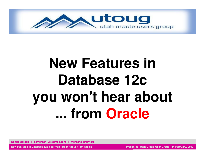

# **New Features in Database 12c you won't hear about ... from Oracle**

**Daniel Morgan | damorgan12c@gmail.com | morganslibrary.org**

**New Features in Database 12c You Won't Hear About From Oracle**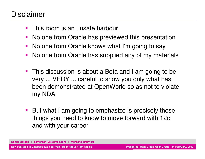#### Disclaimer

- $\mathcal{L}_{\mathcal{A}}$ This room is an unsafe harbour
- **No one from Oracle has previewed this presentation**
- **No one from Oracle knows what I'm going to say**
- $\blacksquare$ No one from Oracle has supplied any of my materials
- $\overline{\phantom{a}}$  This discussion is about a Beta and I am going to be very ... VERY ... careful to show you only what has been demonstrated at OpenWorld so as not to violate my NDA
- But what I am going to emphasize is precisely those things you need to know to move forward with 12c and with your career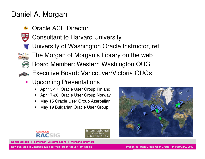#### Daniel A. Morgan

- ٩. Oracle ACE Director
- Ξ Consultant to Harvard University
- **त** University of Washington Oracle Instructor, ret.
- Morgan's Library The Morgan of Morgan's Library on the web

.,

- Board Member: Western Washington OUG
- **Executive Board: Vancouver/Victoria OUGs** ь
- $\blacksquare$  Upcoming Presentations
	- Apr 15-17: Oracle User Group Finland■
	- Apr 17-20: Oracle User Group Norway
	- May 15 Oracle User Group Azerbaijan
	- **May 19 Bulgarian Oracle User Group** ■





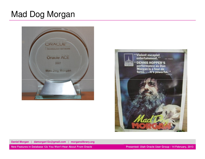## Mad Dog Morgan





**Daniel Morgan | damorgan12c@gmail.com | morganslibrary.org**

**New Features in Database 12c You Won't Hear About From Oracle**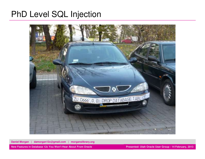## PhD Level SQL Injection



**Daniel Morgan | damorgan12c@gmail.com | morganslibrary.org**

**Presented: Utah Oracle User Group - 14 February, 201 3**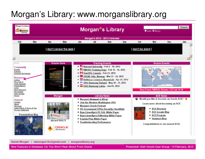# Morgan's Library: www.morganslibrary.org



**Daniel Morgan | damorgan12c@gmail.com | morganslibrary.org**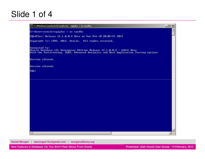## Slide 1 of 4

| C:\Windows\system32\cmd.exe - sqlplus / as sysdba                                                                                                                               | $  D $ $\times$ |
|---------------------------------------------------------------------------------------------------------------------------------------------------------------------------------|-----------------|
| C:\Users\oracle>sqlplus / as sysdba                                                                                                                                             |                 |
| SQL*Plus: Release 12.1.0.0.2 Beta on Sun Feb 10 20:02:53 2013                                                                                                                   |                 |
| Copyright (c) 1982, 2012, Oracle. All rights reserved.                                                                                                                          |                 |
| Connected to:<br>Oracle Database 12c Enterprise Edition Release 12.1.0.0.2 - 64bit Beta<br>With the Partitioning, OLAP, Advanced Analytics and Real Application Testing options |                 |
| Session altered.                                                                                                                                                                |                 |
| Session altered.                                                                                                                                                                |                 |
| $ SQL\rangle$                                                                                                                                                                   |                 |
|                                                                                                                                                                                 |                 |
|                                                                                                                                                                                 |                 |
|                                                                                                                                                                                 |                 |
|                                                                                                                                                                                 |                 |
|                                                                                                                                                                                 |                 |
|                                                                                                                                                                                 |                 |
|                                                                                                                                                                                 |                 |
|                                                                                                                                                                                 |                 |
|                                                                                                                                                                                 |                 |
|                                                                                                                                                                                 |                 |
|                                                                                                                                                                                 |                 |
|                                                                                                                                                                                 |                 |
| $\left  \cdot \right $                                                                                                                                                          |                 |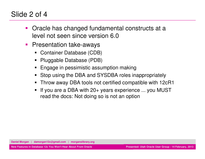#### Slide 2 of 4

- and the state of the state of the state of the state of the state of the state of the state of the state of th Oracle has changed fundamental constructs at a level not seen since version 6.0
- $\mathcal{L}_{\mathcal{A}}$  Presentation take-aways
	- Container Database (CDB)
	- Pluggable Database (PDB)
	- Engage in pessimistic assumption making
	- Stop using the DBA and SYSDBA roles inappropriately
	- Throw away DBA tools not certified compatible with 12cR1
	- ٠ If you are a DBA with 20+ years experience ... you MUST read the docs: Not doing so is not an option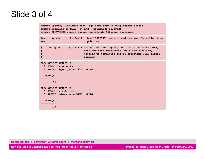## Slide 3 of 4

```
prompt Specify CONTAINER name (eg: NAME from V$PDBS) report target:prompt Defaults to NULL: (% and _ wildcards allowed)
prompt CONTAINER report target specified: &&target_containerRem svivian 01/24/12 - bug 13603747: some procedures must be called from
Rem pdb root
# akruglik 05/11/11 - change container query to fetch from container$;
# open pdb$seed read/write; wait for auxiliary 
                               # process to terminate before resetting CHLD signal # handlerSQL> SELECT COUNT(*)
2 FROM dba_objects
3 WHERE object_name like '%PDB%';
 COUNT(*) ----------\Delta0
VACILE SELECT COUNT (*)<br>
2 FROM dba tab cols<br>
3 WHERE column_name LTKE '\&DB\\}';<br>
COUNT (*)<br>
122<br>
TRANS COUNT (*)<br>
122<br>
Presented: Utah Oracle User Group - 14 February, 2013<br>
Next You Won't Hear About From Oracle<br>
Presen
```
**Daniel Morgan | damorgan12c@gmail.com | morganslibrary.org**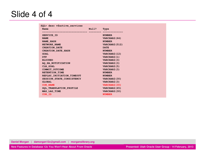## Slide 4 of 4

| SQL> desc v\$active services |       |                       |  |
|------------------------------|-------|-----------------------|--|
| Name                         | Null? | Type                  |  |
| SERVICE ID                   |       | <b>NUMBER</b>         |  |
| <b>NAME</b>                  |       | VARCHAR2 (64)         |  |
| <b>NAME HASH</b>             |       | <b>NUMBER</b>         |  |
| NETWORK NAME                 |       | <b>VARCHAR2 (512)</b> |  |
| <b>CREATION_DATE</b>         |       | <b>DATE</b>           |  |
| <b>CREATION DATE HASH</b>    |       | <b>NUMBER</b>         |  |
| <b>GOAL</b>                  |       | VARCHAR2 (12)         |  |
| <b>DTP</b>                   |       | VARCHAR2 (1)          |  |
| <b>BLOCKED</b>               |       | VARCHAR2 (3)          |  |
| AO HA NOTIFICATION           |       | VARCHAR2 (3)          |  |
| CLB GOAL                     |       | VARCHAR2 (5)          |  |
| COMMIT OUTCOME               |       | VARCHAR2 (3)          |  |
| RETENTION_TIME               |       | <b>NUMBER</b>         |  |
| REPLAY INITIATION TIMEOUT    |       | <b>NUMBER</b>         |  |
| SESSION STATE CONSISTENCY    |       | VARCHAR2 (30)         |  |
| <b>GLOBAL</b>                |       | VARCHAR2 (3)          |  |
| <b>CON NAME</b>              |       | VARCHAR2 (30)         |  |
| SQL TRANSLATION PROFILE      |       | VARCHAR2 (65)         |  |
| MAX LAG TIME                 |       | VARCHAR2 (30)         |  |
| CON ID                       |       | <b>NUMBER</b>         |  |

**Daniel Morgan | damorgan12c@gmail.com | morganslibrary.org**

**New Features in Database 12c You Won't Hear About From Oracle**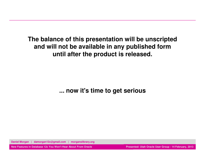**The balance of this presentation will be unscriptedand will not be available in any published formuntil after the product is released.**

**... now it's time to get serious**

**Daniel Morgan | damorgan12c@gmail.com | morganslibrary.org**

**New Features in Database 12c You Won't Hear About From Oracle**